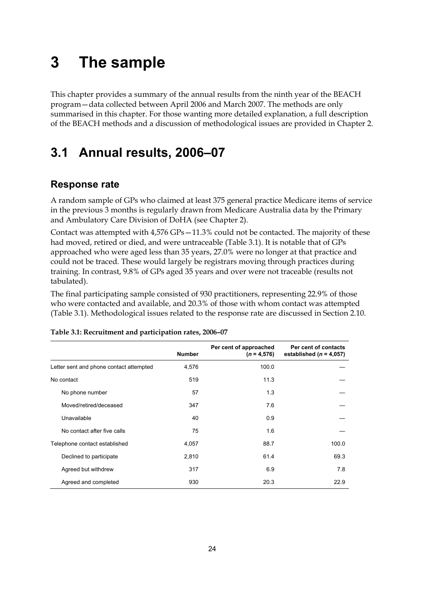# **3 The sample**

This chapter provides a summary of the annual results from the ninth year of the BEACH program—data collected between April 2006 and March 2007. The methods are only summarised in this chapter. For those wanting more detailed explanation, a full description of the BEACH methods and a discussion of methodological issues are provided in Chapter 2.

## **3.1 Annual results, 2006–07**

## **Response rate**

A random sample of GPs who claimed at least 375 general practice Medicare items of service in the previous 3 months is regularly drawn from Medicare Australia data by the Primary and Ambulatory Care Division of DoHA (see Chapter 2).

Contact was attempted with 4,576 GPs—11.3% could not be contacted. The majority of these had moved, retired or died, and were untraceable (Table 3.1). It is notable that of GPs approached who were aged less than 35 years, 27.0% were no longer at that practice and could not be traced. These would largely be registrars moving through practices during training. In contrast, 9.8% of GPs aged 35 years and over were not traceable (results not tabulated).

The final participating sample consisted of 930 practitioners, representing 22.9% of those who were contacted and available, and 20.3% of those with whom contact was attempted (Table 3.1). Methodological issues related to the response rate are discussed in Section 2.10.

|                                         | <b>Number</b> | Per cent of approached<br>$(n = 4.576)$ | Per cent of contacts<br>established ( $n = 4,057$ ) |
|-----------------------------------------|---------------|-----------------------------------------|-----------------------------------------------------|
| Letter sent and phone contact attempted | 4,576         | 100.0                                   |                                                     |
| No contact                              | 519           | 11.3                                    |                                                     |
| No phone number                         | 57            | 1.3                                     |                                                     |
| Moved/retired/deceased                  | 347           | 7.6                                     |                                                     |
| Unavailable                             | 40            | 0.9                                     |                                                     |
| No contact after five calls             | 75            | 1.6                                     |                                                     |
| Telephone contact established           | 4,057         | 88.7                                    | 100.0                                               |
| Declined to participate                 | 2,810         | 61.4                                    | 69.3                                                |
| Agreed but withdrew                     | 317           | 6.9                                     | 7.8                                                 |
| Agreed and completed                    | 930           | 20.3                                    | 22.9                                                |

#### **Table 3.1: Recruitment and participation rates, 2006–07**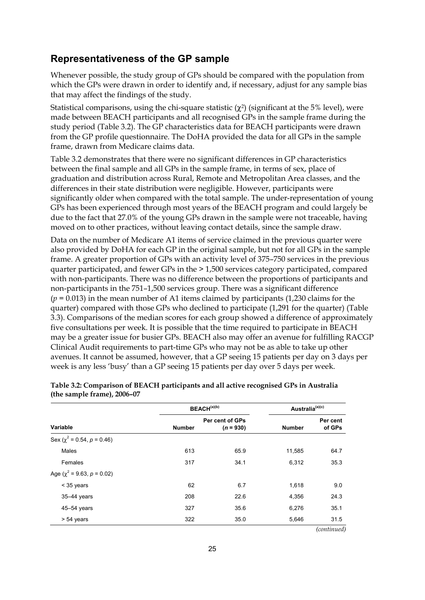### **Representativeness of the GP sample**

Whenever possible, the study group of GPs should be compared with the population from which the GPs were drawn in order to identify and, if necessary, adjust for any sample bias that may affect the findings of the study.

Statistical comparisons, using the chi-square statistic  $(\gamma^2)$  (significant at the 5% level), were made between BEACH participants and all recognised GPs in the sample frame during the study period (Table 3.2). The GP characteristics data for BEACH participants were drawn from the GP profile questionnaire. The DoHA provided the data for all GPs in the sample frame, drawn from Medicare claims data.

Table 3.2 demonstrates that there were no significant differences in GP characteristics between the final sample and all GPs in the sample frame, in terms of sex, place of graduation and distribution across Rural, Remote and Metropolitan Area classes, and the differences in their state distribution were negligible. However, participants were significantly older when compared with the total sample. The under-representation of young GPs has been experienced through most years of the BEACH program and could largely be due to the fact that 27.0% of the young GPs drawn in the sample were not traceable, having moved on to other practices, without leaving contact details, since the sample draw.

Data on the number of Medicare A1 items of service claimed in the previous quarter were also provided by DoHA for each GP in the original sample, but not for all GPs in the sample frame. A greater proportion of GPs with an activity level of 375–750 services in the previous quarter participated, and fewer GPs in the > 1,500 services category participated, compared with non-participants. There was no difference between the proportions of participants and non-participants in the 751–1,500 services group. There was a significant difference (*p* = 0.013) in the mean number of A1 items claimed by participants (1,230 claims for the quarter) compared with those GPs who declined to participate (1,291 for the quarter) (Table 3.3). Comparisons of the median scores for each group showed a difference of approximately five consultations per week. It is possible that the time required to participate in BEACH may be a greater issue for busier GPs. BEACH also may offer an avenue for fulfilling RACGP Clinical Audit requirements to part-time GPs who may not be as able to take up other avenues. It cannot be assumed, however, that a GP seeing 15 patients per day on 3 days per week is any less 'busy' than a GP seeing 15 patients per day over 5 days per week.

|                                    | BEACH <sup>(a)(b)</sup> |                                | Australia <sup>(a)(c)</sup> |                    |  |
|------------------------------------|-------------------------|--------------------------------|-----------------------------|--------------------|--|
| Variable                           | <b>Number</b>           | Per cent of GPs<br>$(n = 930)$ | <b>Number</b>               | Per cent<br>of GPs |  |
| Sex ( $\chi^2$ = 0.54, $p$ = 0.46) |                         |                                |                             |                    |  |
| Males                              | 613                     | 65.9                           | 11,585                      | 64.7               |  |
| Females                            | 317                     | 34.1                           | 6,312                       | 35.3               |  |
| Age ( $\chi^2$ = 9.63, $p$ = 0.02) |                         |                                |                             |                    |  |
| $<$ 35 years                       | 62                      | 6.7                            | 1,618                       | 9.0                |  |
| 35-44 years                        | 208                     | 22.6                           | 4,356                       | 24.3               |  |
| $45 - 54$ years                    | 327                     | 35.6                           | 6,276                       | 35.1               |  |
| $> 54$ years                       | 322                     | 35.0                           | 5,646                       | 31.5               |  |
|                                    |                         |                                |                             | (continued)        |  |

**Table 3.2: Comparison of BEACH participants and all active recognised GPs in Australia (the sample frame), 2006–07**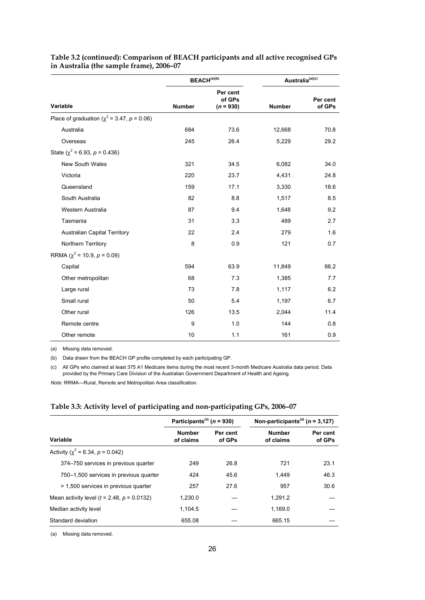|                                                    |        | BEACH <sup>(a)(b)</sup>           | Australia(a)(c) |                    |
|----------------------------------------------------|--------|-----------------------------------|-----------------|--------------------|
| <b>Variable</b>                                    | Number | Per cent<br>of GPs<br>$(n = 930)$ | <b>Number</b>   | Per cent<br>of GPs |
| Place of graduation ( $\chi^2$ = 3.47, $p$ = 0.06) |        |                                   |                 |                    |
| Australia                                          | 684    | 73.6                              | 12,668          | 70.8               |
| Overseas                                           | 245    | 26.4                              | 5,229           | 29.2               |
| State ( $\chi^2$ = 6.93, $p$ = 0.436)              |        |                                   |                 |                    |
| <b>New South Wales</b>                             | 321    | 34.5                              | 6,082           | 34.0               |
| Victoria                                           | 220    | 23.7                              | 4,431           | 24.8               |
| Queensland                                         | 159    | 17.1                              | 3,330           | 18.6               |
| South Australia                                    | 82     | 8.8                               | 1,517           | 8.5                |
| Western Australia                                  | 87     | 9.4                               | 1,648           | 9.2                |
| Tasmania                                           | 31     | 3.3                               | 489             | 2.7                |
| <b>Australian Capital Territory</b>                | 22     | 2.4                               | 279             | 1.6                |
| Northern Territory                                 | 8      | 0.9                               | 121             | 0.7                |
| RRMA ( $\chi^2$ = 10.9, $p$ = 0.09)                |        |                                   |                 |                    |
| Capital                                            | 594    | 63.9                              | 11,849          | 66.2               |
| Other metropolitan                                 | 68     | 7.3                               | 1,385           | 7.7                |
| Large rural                                        | 73     | 7.8                               | 1,117           | 6.2                |
| Small rural                                        | 50     | 5.4                               | 1,197           | 6.7                |
| Other rural                                        | 126    | 13.5                              | 2,044           | 11.4               |
| Remote centre                                      | 9      | 1.0                               | 144             | 0.8                |
| Other remote                                       | 10     | 1.1                               | 161             | 0.9                |

#### **Table 3.2 (continued): Comparison of BEACH participants and all active recognised GPs in Australia (the sample frame), 2006–07**

(a) Missing data removed.

(b) Data drawn from the BEACH GP profile completed by each participating GP.

(c) All GPs who claimed at least 375 A1 Medicare items during the most recent 3-month Medicare Australia data period. Data provided by the Primary Care Division of the Australian Government Department of Health and Ageing.

*Note:* RRMA—Rural, Remote and Metropolitan Area classification.

#### **Table 3.3: Activity level of participating and non-participating GPs, 2006–07**

|                                              | Participants <sup>(a)</sup> ( $n = 930$ ) |                    | Non-participants <sup>(a)</sup> ( $n = 3,127$ ) |                    |  |
|----------------------------------------------|-------------------------------------------|--------------------|-------------------------------------------------|--------------------|--|
| Variable                                     | <b>Number</b><br>of claims                | Per cent<br>of GPs | <b>Number</b><br>of claims                      | Per cent<br>of GPs |  |
| Activity ( $\chi^2$ = 6.34, p = 0.042)       |                                           |                    |                                                 |                    |  |
| 374–750 services in previous quarter         | 249                                       | 26.8               | 721                                             | 23.1               |  |
| 750–1,500 services in previous quarter       | 424                                       | 45.6               | 1.449                                           | 46.3               |  |
| > 1,500 services in previous quarter         | 257                                       | 27.6               | 957                                             | 30.6               |  |
| Mean activity level $(t = 2.48, p = 0.0132)$ | 1.230.0                                   |                    | 1.291.2                                         |                    |  |
| Median activity level                        | 1,104.5                                   |                    | 1.169.0                                         |                    |  |
| Standard deviation                           | 655.08                                    |                    | 665.15                                          |                    |  |

(a) Missing data removed.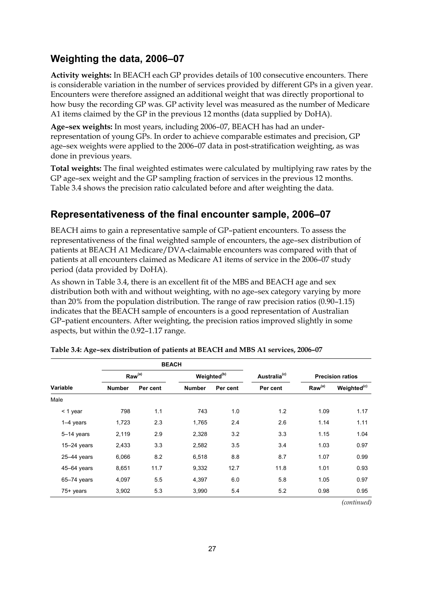## **Weighting the data, 2006–07**

**Activity weights:** In BEACH each GP provides details of 100 consecutive encounters. There is considerable variation in the number of services provided by different GPs in a given year. Encounters were therefore assigned an additional weight that was directly proportional to how busy the recording GP was. GP activity level was measured as the number of Medicare A1 items claimed by the GP in the previous 12 months (data supplied by DoHA).

**Age–sex weights:** In most years, including 2006–07, BEACH has had an underrepresentation of young GPs. In order to achieve comparable estimates and precision, GP age–sex weights were applied to the 2006–07 data in post-stratification weighting, as was done in previous years.

**Total weights:** The final weighted estimates were calculated by multiplying raw rates by the GP age–sex weight and the GP sampling fraction of services in the previous 12 months. Table 3.4 shows the precision ratio calculated before and after weighting the data.

## **Representativeness of the final encounter sample, 2006–07**

BEACH aims to gain a representative sample of GP–patient encounters. To assess the representativeness of the final weighted sample of encounters, the age–sex distribution of patients at BEACH A1 Medicare/DVA-claimable encounters was compared with that of patients at all encounters claimed as Medicare A1 items of service in the 2006–07 study period (data provided by DoHA).

As shown in Table 3.4, there is an excellent fit of the MBS and BEACH age and sex distribution both with and without weighting, with no age–sex category varying by more than 20% from the population distribution. The range of raw precision ratios (0.90–1.15) indicates that the BEACH sample of encounters is a good representation of Australian GP–patient encounters. After weighting, the precision ratios improved slightly in some aspects, but within the 0.92–1.17 range.

| Raw <sup>(a)</sup><br>Variable<br><b>Number</b><br>Per cent |      |               | Weighted <sup>(b)</sup> |          | <b>Precision ratios</b>     |                         |
|-------------------------------------------------------------|------|---------------|-------------------------|----------|-----------------------------|-------------------------|
|                                                             |      | <b>Number</b> | Per cent                | Per cent | $\mathsf{Raw}^{\text{(a)}}$ | Weighted <sup>(c)</sup> |
|                                                             |      |               |                         |          |                             |                         |
| 798                                                         | 1.1  | 743           | 1.0                     | 1.2      | 1.09                        | 1.17                    |
| 1,723                                                       | 2.3  | 1,765         | 2.4                     | 2.6      | 1.14                        | 1.11                    |
| 2,119                                                       | 2.9  | 2,328         | 3.2                     | 3.3      | 1.15                        | 1.04                    |
| 2,433                                                       | 3.3  | 2,582         | 3.5                     | 3.4      | 1.03                        | 0.97                    |
| 6,066                                                       | 8.2  | 6,518         | 8.8                     | 8.7      | 1.07                        | 0.99                    |
| 8,651                                                       | 11.7 | 9,332         | 12.7                    | 11.8     | 1.01                        | 0.93                    |
| 4,097                                                       | 5.5  | 4,397         | 6.0                     | 5.8      | 1.05                        | 0.97                    |
| 3,902                                                       | 5.3  | 3,990         | 5.4                     | 5.2      | 0.98                        | 0.95                    |
|                                                             |      |               | <b>BEACH</b>            |          | Australia <sup>(c)</sup>    |                         |

**Table 3.4: Age–sex distribution of patients at BEACH and MBS A1 services, 2006–07** 

*(continued)*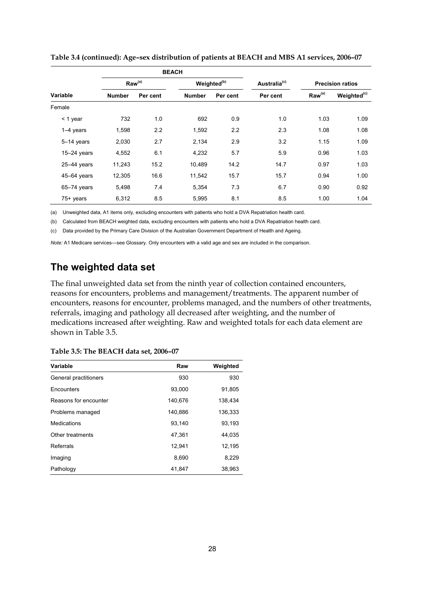|                 |                    |          | <b>BEACH</b>              |                         |          |                         |                         |
|-----------------|--------------------|----------|---------------------------|-------------------------|----------|-------------------------|-------------------------|
| <b>Variable</b> | Raw <sup>(a)</sup> |          |                           | Weighted <sup>(b)</sup> |          | <b>Precision ratios</b> |                         |
|                 | <b>Number</b>      | Per cent | <b>Number</b><br>Per cent |                         | Per cent | Raw <sup>(a)</sup>      | Weighted <sup>(c)</sup> |
| Female          |                    |          |                           |                         |          |                         |                         |
| $<$ 1 year      | 732                | 1.0      | 692                       | 0.9                     | 1.0      | 1.03                    | 1.09                    |
| $1-4$ years     | 1,598              | 2.2      | 1,592                     | 2.2                     | 2.3      | 1.08                    | 1.08                    |
| 5-14 years      | 2,030              | 2.7      | 2,134                     | 2.9                     | 3.2      | 1.15                    | 1.09                    |
| $15-24$ years   | 4,552              | 6.1      | 4,232                     | 5.7                     | 5.9      | 0.96                    | 1.03                    |
| $25-44$ years   | 11,243             | 15.2     | 10,489                    | 14.2                    | 14.7     | 0.97                    | 1.03                    |
| 45-64 years     | 12,305             | 16.6     | 11,542                    | 15.7                    | 15.7     | 0.94                    | 1.00                    |
| 65-74 years     | 5,498              | 7.4      | 5,354                     | 7.3                     | 6.7      | 0.90                    | 0.92                    |
| 75+ years       | 6,312              | 8.5      | 5,995                     | 8.1                     | 8.5      | 1.00                    | 1.04                    |

**Table 3.4 (continued): Age–sex distribution of patients at BEACH and MBS A1 services, 2006–07** 

(a) Unweighted data, A1 items only, excluding encounters with patients who hold a DVA Repatriation health card.

(b) Calculated from BEACH weighted data, excluding encounters with patients who hold a DVA Repatriation health card.

(c) Data provided by the Primary Care Division of the Australian Government Department of Health and Ageing.

*Note:* A1 Medicare services—see Glossary. Only encounters with a valid age and sex are included in the comparison.

### **The weighted data set**

The final unweighted data set from the ninth year of collection contained encounters, reasons for encounters, problems and management/treatments. The apparent number of encounters, reasons for encounter, problems managed, and the numbers of other treatments, referrals, imaging and pathology all decreased after weighting, and the number of medications increased after weighting. Raw and weighted totals for each data element are shown in Table 3.5.

| <b>Variable</b>       | Raw     | Weighted |
|-----------------------|---------|----------|
| General practitioners | 930     | 930      |
| Encounters            | 93.000  | 91,805   |
| Reasons for encounter | 140,676 | 138,434  |
| Problems managed      | 140,886 | 136,333  |
| Medications           | 93.140  | 93,193   |
| Other treatments      | 47.361  | 44.035   |
| Referrals             | 12,941  | 12,195   |
| Imaging               | 8,690   | 8,229    |
| Pathology             | 41,847  | 38,963   |

| Table 3.5: The BEACH data set, 2006-07 |  |  |  |  |
|----------------------------------------|--|--|--|--|
|----------------------------------------|--|--|--|--|